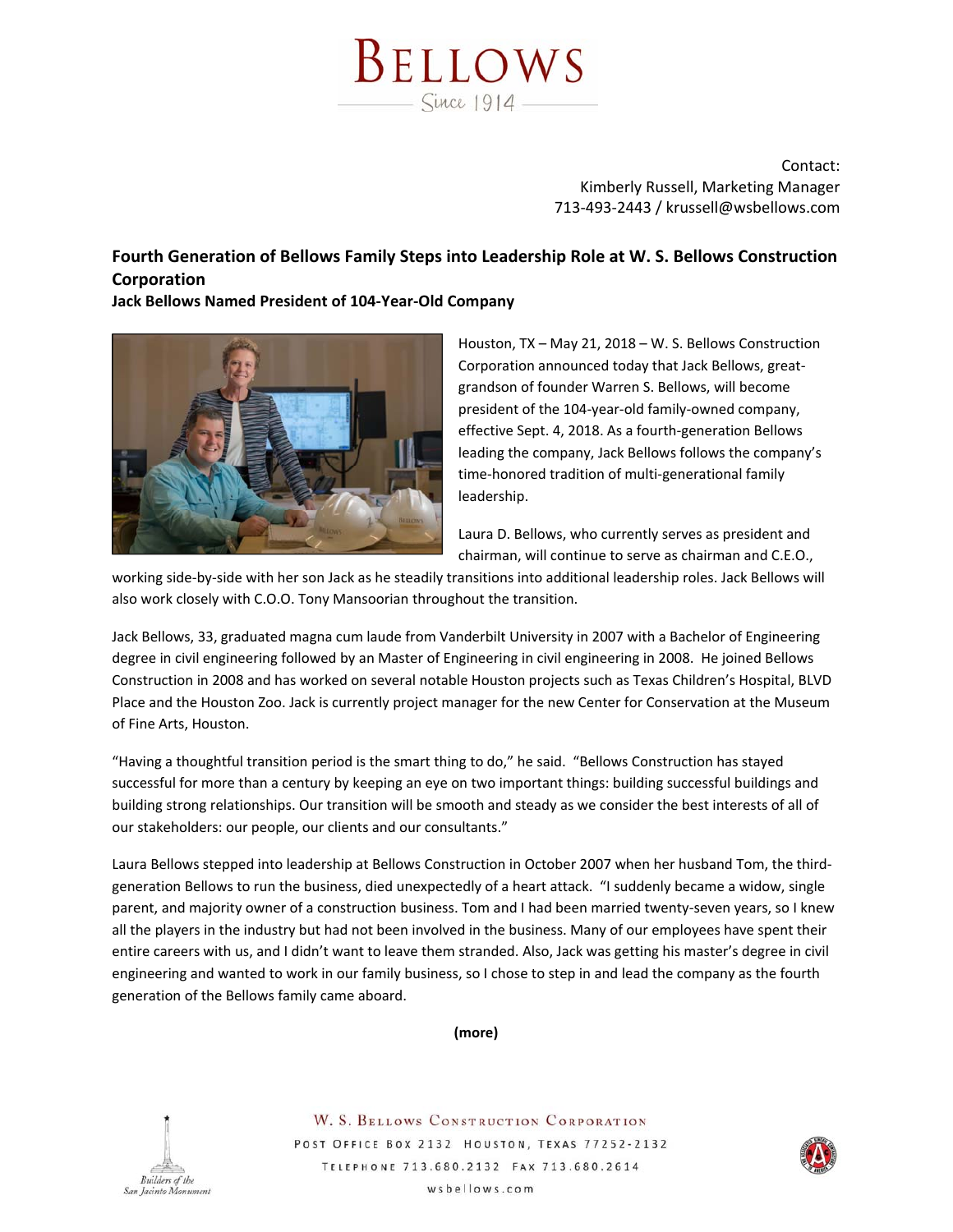

Contact: Kimberly Russell, Marketing Manager 713‐493‐2443 / krussell@wsbellows.com

## **Fourth Generation of Bellows Family Steps into Leadership Role at W. S. Bellows Construction Corporation**

**Jack Bellows Named President of 104‐Year‐Old Company**



Houston, TX – May 21, 2018 – W. S. Bellows Construction Corporation announced today that Jack Bellows, great‐ grandson of founder Warren S. Bellows, will become president of the 104‐year‐old family‐owned company, effective Sept. 4, 2018. As a fourth‐generation Bellows leading the company, Jack Bellows follows the company's time‐honored tradition of multi‐generational family leadership.

Laura D. Bellows, who currently serves as president and chairman, will continue to serve as chairman and C.E.O.,

working side‐by‐side with her son Jack as he steadily transitions into additional leadership roles. Jack Bellows will also work closely with C.O.O. Tony Mansoorian throughout the transition.

Jack Bellows, 33, graduated magna cum laude from Vanderbilt University in 2007 with a Bachelor of Engineering degree in civil engineering followed by an Master of Engineering in civil engineering in 2008. He joined Bellows Construction in 2008 and has worked on several notable Houston projects such as Texas Children's Hospital, BLVD Place and the Houston Zoo. Jack is currently project manager for the new Center for Conservation at the Museum of Fine Arts, Houston.

"Having a thoughtful transition period is the smart thing to do," he said. "Bellows Construction has stayed successful for more than a century by keeping an eye on two important things: building successful buildings and building strong relationships. Our transition will be smooth and steady as we consider the best interests of all of our stakeholders: our people, our clients and our consultants."

Laura Bellows stepped into leadership at Bellows Construction in October 2007 when her husband Tom, the third‐ generation Bellows to run the business, died unexpectedly of a heart attack. "I suddenly became a widow, single parent, and majority owner of a construction business. Tom and I had been married twenty-seven years, so I knew all the players in the industry but had not been involved in the business. Many of our employees have spent their entire careers with us, and I didn't want to leave them stranded. Also, Jack was getting his master's degree in civil engineering and wanted to work in our family business, so I chose to step in and lead the company as the fourth generation of the Bellows family came aboard.





W. S. BELLOWS CONSTRUCTION CORPORATION POST OFFICE BOX 2132 HOUSTON, TEXAS 77252-2132 TELEPHONE 713.680.2132 FAX 713.680.2614 wsbellows.com